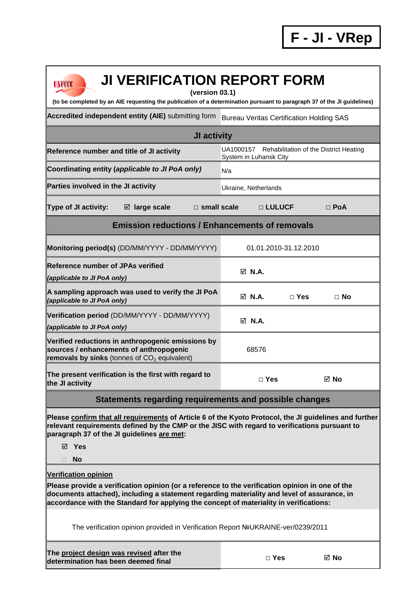Ŧ

| <b>JI VERIFICATION REPORT FORM</b><br><b>UNFCCC</b><br>(version 03.1)                                                                                                                                                                                                                                                   |                                                                            |            |            |  |  |  |  |  |  |
|-------------------------------------------------------------------------------------------------------------------------------------------------------------------------------------------------------------------------------------------------------------------------------------------------------------------------|----------------------------------------------------------------------------|------------|------------|--|--|--|--|--|--|
| (to be completed by an AIE requesting the publication of a determination pursuant to paragraph 37 of the JI guidelines)                                                                                                                                                                                                 |                                                                            |            |            |  |  |  |  |  |  |
| Accredited independent entity (AIE) submitting form                                                                                                                                                                                                                                                                     | <b>Bureau Veritas Certification Holding SAS</b>                            |            |            |  |  |  |  |  |  |
| JI activity                                                                                                                                                                                                                                                                                                             |                                                                            |            |            |  |  |  |  |  |  |
| Reference number and title of JI activity                                                                                                                                                                                                                                                                               | UA1000157 Rehabilitation of the District Heating<br>System in Luhansk City |            |            |  |  |  |  |  |  |
| Coordinating entity (applicable to JI PoA only)<br>N/a                                                                                                                                                                                                                                                                  |                                                                            |            |            |  |  |  |  |  |  |
| Parties involved in the JI activity                                                                                                                                                                                                                                                                                     | Ukraine, Netherlands                                                       |            |            |  |  |  |  |  |  |
| Type of JI activity:<br>$\boxtimes$ large scale<br>$\square$ small scale                                                                                                                                                                                                                                                | □ LULUCF                                                                   |            | $\Box$ PoA |  |  |  |  |  |  |
| <b>Emission reductions / Enhancements of removals</b>                                                                                                                                                                                                                                                                   |                                                                            |            |            |  |  |  |  |  |  |
| Monitoring period(s) (DD/MM/YYYY - DD/MM/YYYY)                                                                                                                                                                                                                                                                          | 01.01.2010-31.12.2010                                                      |            |            |  |  |  |  |  |  |
| <b>Reference number of JPAs verified</b><br>(applicable to JI PoA only)                                                                                                                                                                                                                                                 | $\boxtimes$ N.A.                                                           |            |            |  |  |  |  |  |  |
| A sampling approach was used to verify the JI PoA<br>(applicable to JI PoA only)                                                                                                                                                                                                                                        | $\boxtimes$ N.A.                                                           | $\Box$ Yes | $\Box$ No  |  |  |  |  |  |  |
| Verification period (DD/MM/YYYY - DD/MM/YYYY)<br>(applicable to JI PoA only)                                                                                                                                                                                                                                            | $\boxtimes$ N.A.                                                           |            |            |  |  |  |  |  |  |
| Verified reductions in anthropogenic emissions by<br>sources / enhancements of anthropogenic<br>removals by sinks (tonnes of $CO2$ equivalent)                                                                                                                                                                          | 68576                                                                      |            |            |  |  |  |  |  |  |
| The present verification is the first with regard to<br>the JI activity                                                                                                                                                                                                                                                 | $\Box$ Yes                                                                 |            | ⊠ No       |  |  |  |  |  |  |
| Statements regarding requirements and possible changes                                                                                                                                                                                                                                                                  |                                                                            |            |            |  |  |  |  |  |  |
| Please confirm that all requirements of Article 6 of the Kyoto Protocol, the JI guidelines and further<br>relevant requirements defined by the CMP or the JISC with regard to verifications pursuant to<br>paragraph 37 of the JI guidelines are met:                                                                   |                                                                            |            |            |  |  |  |  |  |  |
| ⊠ Yes                                                                                                                                                                                                                                                                                                                   |                                                                            |            |            |  |  |  |  |  |  |
| <b>No</b><br>Ш                                                                                                                                                                                                                                                                                                          |                                                                            |            |            |  |  |  |  |  |  |
| <b>Verification opinion</b><br>Please provide a verification opinion (or a reference to the verification opinion in one of the<br>documents attached), including a statement regarding materiality and level of assurance, in<br>accordance with the Standard for applying the concept of materiality in verifications: |                                                                            |            |            |  |  |  |  |  |  |
| The verification opinion provided in Verification Report NºUKRAINE-ver/0239/2011                                                                                                                                                                                                                                        |                                                                            |            |            |  |  |  |  |  |  |
| The project design was revised after the<br>determination has been deemed final                                                                                                                                                                                                                                         | $\Box$ Yes                                                                 |            | ⊠ No       |  |  |  |  |  |  |

ń